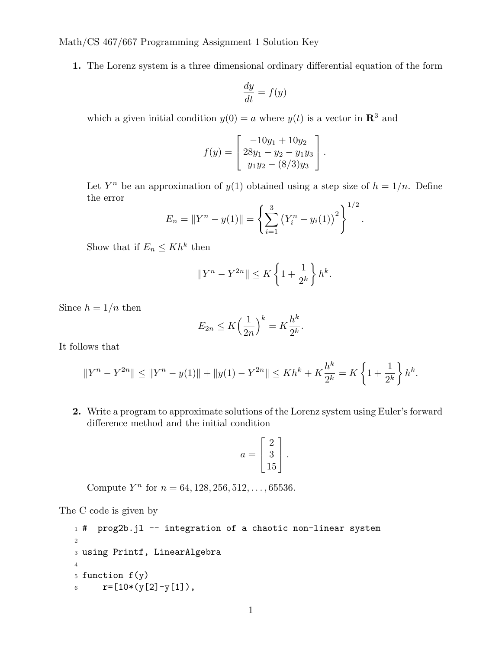Math/CS 467/667 Programming Assignment 1 Solution Key

**1.** The Lorenz system is a three dimensional ordinary differential equation of the form

$$
\frac{dy}{dt} = f(y)
$$

which a given initial condition  $y(0) = a$  where  $y(t)$  is a vector in  $\mathbb{R}^3$  and

$$
f(y) = \begin{bmatrix} -10y_1 + 10y_2 \\ 28y_1 - y_2 - y_1y_3 \\ y_1y_2 - (8/3)y_3 \end{bmatrix}.
$$

Let  $Y^n$  be an approximation of  $y(1)$  obtained using a step size of  $h = 1/n$ . Define the error }<sup>1</sup>*/*<sup>2</sup>

$$
E_n = \|Y^n - y(1)\| = \left\{\sum_{i=1}^3 (Y_i^n - y_i(1))^2\right\}^{1/2}.
$$

Show that if  $E_n \le Kh^k$  then

$$
||Y^n - Y^{2n}|| \le K\left\{1 + \frac{1}{2^k}\right\}h^k.
$$

Since  $h = 1/n$  then

$$
E_{2n} \le K \left(\frac{1}{2n}\right)^k = K \frac{h^k}{2^k}.
$$

It follows that

$$
||Y^{n} - Y^{2n}|| \le ||Y^{n} - y(1)|| + ||y(1) - Y^{2n}|| \le Kh^{k} + K\frac{h^{k}}{2^{k}} = K\left\{1 + \frac{1}{2^{k}}\right\}h^{k}.
$$

**2.** Write a program to approximate solutions of the Lorenz system using Euler's forward difference method and the initial condition

$$
a = \begin{bmatrix} 2 \\ 3 \\ 15 \end{bmatrix}.
$$

Compute  $Y^n$  for  $n = 64, 128, 256, 512, \ldots, 65536$ .

The C code is given by

```
1 # prog2b.jl -- integration of a chaotic non-linear system
2
3 using Printf, LinearAlgebra
4
5 function f(y)6 r=[10*(y[2]-y[1]),
```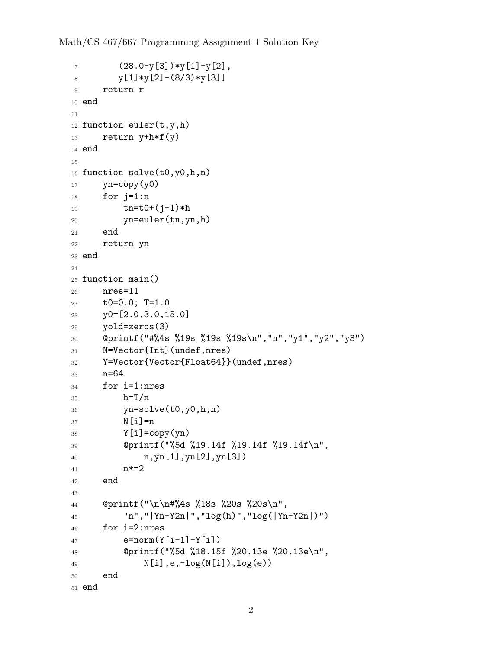```
7 \qquad (28.0-y[3]) \ast y[1]-y[2],8 y[1]*y[2] - (8/3)*y[3]9 return r
10 end
11
12 function euler(t,y,h)
13 return y+h*f(y)
14 end
15
16 function solve(t0,y0,h,n)
_{17} yn=copy(y0)
18 for j=1:n
19 tn = t0 + (j-1)*h20 yn=euler(tn,yn,h)
21 end
22 return yn
23 end
24
25 function main()
26 nres=11
27 t0=0.0; T=1.0
28 y0=[2.0,3.0,15.0]
29 yold=zeros(3)
30 @printf("#%4s %19s %19s %19s\n","n","y1","y2","y3")
31 N=Vector{Int}(undef,nres)
32 Y=Vector{Vector{Float64}}(undef,nres)
33 n=64
34 for i=1:nres
35 h=T/n
36 yn=solve(t0,y0,h,n)
37 N[i]=n
38 Y[i] = copy(yn)39 @printf("%5d %19.14f %19.14f %19.14f\n",
40 n,yn[1],yn[2],yn[3])
41 n*=2
42 end
43
44 @printf("\n\n#%4s %18s %20s %20s\n",
45 "n","|Yn-Y2n|","log(h)","log(|Yn-Y2n|)")
46 for i=2:nres
47 e=norm(Y[i-1]-Y[i])
48 @printf("%5d %18.15f %20.13e %20.13e\n",
49 N[i], e, -log(N[i]), log(e)50 end
51 end
```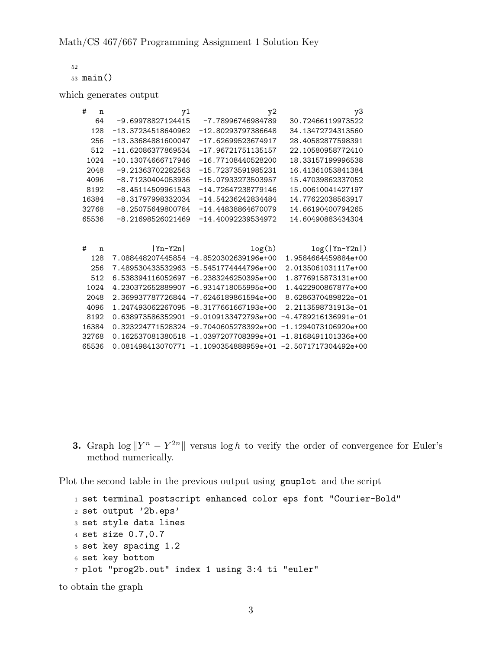52 <sup>53</sup> main()

which generates output

| #<br>$\mathbf n$ | y1                   | y2                                       | yЗ                                                            |
|------------------|----------------------|------------------------------------------|---------------------------------------------------------------|
| 64               | $-9.69978827124415$  | -7.78996746984789                        | 30.72466119973522                                             |
| 128              | $-13.37234518640962$ | -12.80293797386648                       | 34.13472724313560                                             |
| 256              | -13.33684881600047   | $-17.62699523674917$                     | 28.40582877598391                                             |
| 512              | $-11.62086377869534$ | $-17.96721751135157$                     | 22.10580958772410                                             |
| 1024             | $-10.13074666717946$ | $-16.77108440528200$                     | 18.33157199996538                                             |
| 2048             | $-9.21363702282563$  | -15.72373591985231                       | 16.41361053841384                                             |
| 4096             | -8.71230404053936    | -15.07933273503957                       | 15.47039862337052                                             |
| 8192             | $-8.45114509961543$  | -14.72647238779146                       | 15.00610041427197                                             |
| 16384            | -8.31797998332034    | -14.54236242834484                       | 14.77622038563917                                             |
| 32768            | -8.25075649800784    | -14.44838864670079                       | 14.66190400794265                                             |
| 65536            | -8.21698526021469    | $-14.40092239534972$                     | 14.60490883434304                                             |
|                  |                      |                                          |                                                               |
| #<br>n           | $ Y_n-Y2n $          | log(h)                                   | $log( Yn-Y2n )$                                               |
| 128              |                      | 7.088448207445854 -4.8520302639196e+00   | 1.9584664459884e+00                                           |
| 256              |                      | 7.489530433532963 -5.5451774444796e+00   | 2.0135061031117e+00                                           |
| 512              |                      | 6.538394116052697 -6.2383246250395e+00   | 1.8776915873131e+00                                           |
| 1024             |                      | 4.230372652889907 -6.9314718055995e+00   | 1.4422900867877e+00                                           |
| 2048             |                      | 2.369937787726844 -7.6246189861594e+00   | 8.6286370489822e-01                                           |
| 4096             |                      | 1.247493062267095 -8.3177661667193e+00   | 2.2113598731913e-01                                           |
| 8192             |                      | $0.638973586352901 -9.0109133472793e+00$ | $-4.4789216136991e-01$                                        |
| 16384            |                      | 0.323224771528324 -9.7040605278392e+00   | $-1.1294073106920e+00$                                        |
| 32768            |                      | 0.162537081380518 -1.0397207708399e+01   | $-1.8168491101336e+00$                                        |
| 65536            |                      |                                          | $0.081498413070771 -1.1090354888959e+01 -2.5071717304492e+00$ |

**3.** Graph  $\log ||Y^n - Y^{2n}||$  versus  $\log h$  to verify the order of convergence for Euler's method numerically.

Plot the second table in the previous output using gnuplot and the script

```
1 set terminal postscript enhanced color eps font "Courier-Bold"
2 set output '2b.eps'
3 set style data lines
4 set size 0.7,0.7
5 set key spacing 1.2
6 set key bottom
7 plot "prog2b.out" index 1 using 3:4 ti "euler"
```
to obtain the graph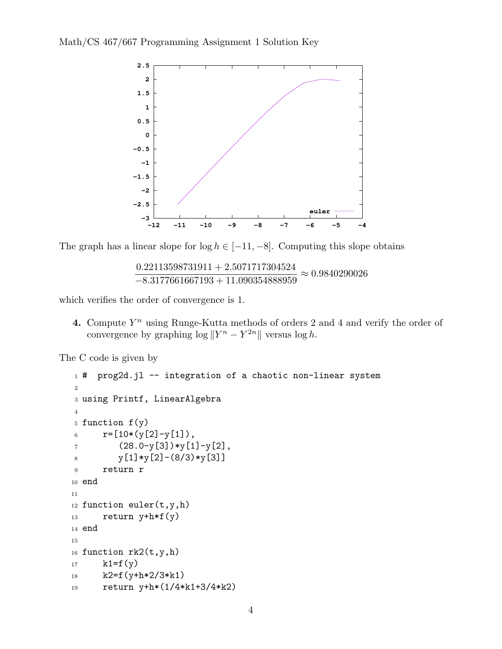

The graph has a linear slope for  $log h \in [-11, -8]$ . Computing this slope obtains

0*.*22113598731911 + 2*.*5071717304524 *−*8*.*3177661667193 + 11*.*090354888959 *≈* 0*.*9840290026

which verifies the order of convergence is 1.

**4.** Compute  $Y^n$  using Runge-Kutta methods of orders 2 and 4 and verify the order of convergence by graphing  $\log \|Y^n - Y^{2n}\|$  versus  $\log h$ .

The C code is given by

```
1 # prog2d.jl -- integration of a chaotic non-linear system
2
3 using Printf, LinearAlgebra
4
5 function f(y)6 r=[10*(y[2]-y[1]),7 \qquad (28.0-y[3]) \ast y[1]-y[2],8 y[1]*y[2] - (8/3)*y[3]9 return r
10 end
11
12 function euler(t,y,h)
13 return y + h * f(y)14 end
15
16 function rk2(t,y,h)17 k1=f(y)18 k2=f(y+h*2/3*k1)19 return y+h*(1/4*k1+3/4*k2)
```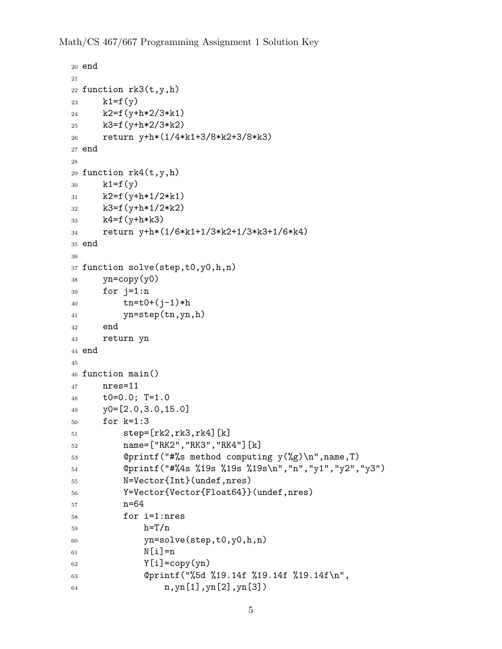Math/CS 467/667 Programming Assignment 1 Solution Key

```
20 end
21
22 function rk3(t,y,h)
23 k1=f(y)24 k2=f(y+h*2/3*k1)25 k3=f(y+h*2/3*k2)26 return y+h*(1/4*k1+3/8*k2+3/8*k3)
27 end
28
29 function rk4(t,y,h)30 k1=f(y)
_{31} k2=f(y+h*1/2*k1)
32 k3=f(y+h*1/2*k2)
33 k4=f(y+h*k3)
34 return y+h*(1/6*k1+1/3*k2+1/3*k3+1/6*k4)
35 end
36
37 function solve(step,t0,y0,h,n)
38 yn=copy(y0)
39 for j=1:n
40 tn = t0 + (j-1)*h41 yn=step(tn,yn,h)
42 end
43 return yn
44 end
45
46 function main()
47 nres=11
48 t0=0.0; T=1.0
_{49} y0=[2.0,3.0,15.0]50 for k=1:3
51 step=[rk2,rk3,rk4][k]
52 name=["RK2","RK3","RK4"][k]
53 @printf("#%s method computing y(%g)\n",name,T)
54 @printf("#%4s %19s %19s %19s\n","n","y1","y2","y3")
55 N=Vector{Int}(undef,nres)
56 Y=Vector{Vector{Float64}}(undef,nres)
57 n=64
58 for i=1:nres
_{59} h=T/n
60 yn=solve(step,t0,y0,h,n)
\begin{bmatrix} 61 \end{bmatrix} N[i]=n
62 \qquad \qquad Y[i]=copy(yn)63 @printf("%5d %19.14f %19.14f %19.14f\n",
_{64} n,yn[1],yn[2],yn[3])
```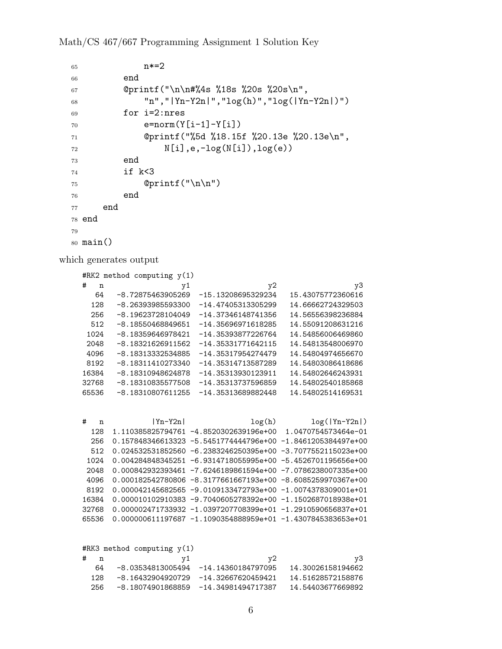## Math/CS 467/667 Programming Assignment 1 Solution Key

```
65 n*=2
66 end
67 @printf("\n\n#%4s %18s %20s %20s\n",
68 "n","|Yn-Y2n|","log(h)","log(|Yn-Y2n|)")
69 for i=2:nres
70 e=norm(Y[i-1]-Y[i])71 @printf("%5d %18.15f %20.13e %20.13e\n",
72 N[i],e,-log(N[i]),log(e))
73 end
74 if k<3
75 @printf("\n\n")
76 end
77 end
78 end
79
80 main()
```
which generates output

| #RK2 method computing $y(1)$ |                     |                      |                   |
|------------------------------|---------------------|----------------------|-------------------|
| #<br>n                       | y1                  | y2                   | y3                |
| 64                           | -8.72875463905269   | -15.13208695329234   | 15.43075772360616 |
| 128                          | -8.26393985593300   | $-14.47405313305299$ | 14.66662724329503 |
| 256                          | -8.19623728104049   | -14.37346148741356   | 14.56556398236884 |
| 512                          | $-8.18550468849651$ | $-14.35696971618285$ | 14.55091208631216 |
| 1024                         | -8.18359646978421   | -14.35393877226764   | 14.54856006469860 |
| 2048                         | -8.18321626911562   | $-14.35331771642115$ | 14.54813548006970 |
| 4096                         | -8.18313332534885   | $-14.35317954274479$ | 14.54804974656670 |
| 8192                         | -8.18311410273340   | -14.35314713587289   | 14.54803086418686 |
| 16384                        | -8.18310948624878   | -14.35313930123911   | 14.54802646243931 |
| 32768                        | -8.18310835577508   | -14.35313737596859   | 14.54802540185868 |
| 65536                        | -8.18310807611255   | $-14.35313689882448$ | 14.54802514169531 |

| #<br>'n | $ Yn-Y2n $ | log(h)                                                             | $log( Yn-Y2n )$ |
|---------|------------|--------------------------------------------------------------------|-----------------|
| 128     |            | 1.110385825794761 -4.8520302639196e+00 1.0470754573464e-01         |                 |
| 256     |            | 0.157848346613323 -5.5451774444796e+00 -1.8461205384497e+00        |                 |
| 512     |            | $0.024532531852560 - 6.2383246250395e+00 -3.7077552115023e+00$     |                 |
| 1024    |            | $0.004284848345251 - 6.9314718055995e+00 - 5.4526701195656e+00$    |                 |
| 2048    |            | 0.000842932393461 -7.6246189861594e+00 -7.0786238007335e+00        |                 |
| 4096    |            | 0.000182542780806 -8.3177661667193e+00 -8.6085259970367e+00        |                 |
| 8192    |            | $0.000042145682565 - 9.0109133472793e+00 -1.0074378309001e+01$     |                 |
| 16384   |            | $0.000010102910383 - 9.7040605278392e + 00 -1.1502687018938e + 01$ |                 |
| 32768   |            | $0.000002471733932 -1.0397207708399e+01 -1.2910590656837e+01$      |                 |
| 65536   |            | $0.000000611197687 - 1.1090354888959e+01 - 1.4307845383653e+01$    |                 |

|   |             | #RK3 method computing $y(1)$         |    |                   |
|---|-------------|--------------------------------------|----|-------------------|
| # | $\mathbf n$ |                                      | v2 | y3                |
|   | 64          | -8.03534813005494 -14.14360184797095 |    | 14.30026158194662 |
|   | 128.        | -8.16432904920729 -14.32667620459421 |    | 14.51628572158876 |
|   | 256         | -8.18074901868859 -14.34981494717387 |    | 14.54403677669892 |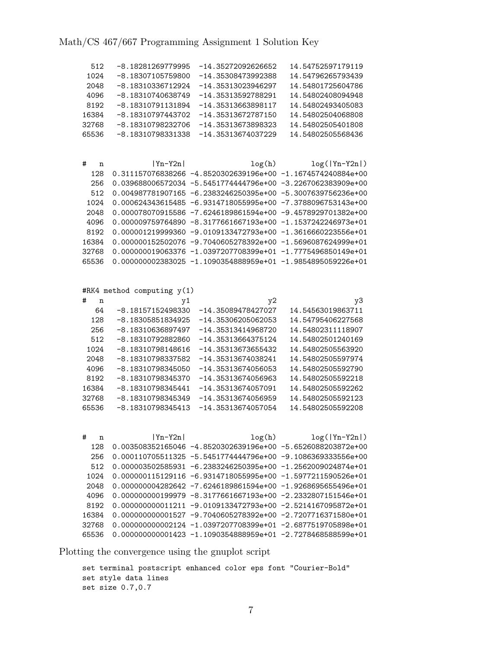| 512              | -8.18281269779995<br>-14.35272092626652                           | 14.54752597179119 |
|------------------|-------------------------------------------------------------------|-------------------|
| 1024             | -8.18307105759800<br>$-14.35308473992388$                         | 14.54796265793439 |
| 2048             | -8.18310336712924<br>$-14.35313023946297$                         | 14.54801725604786 |
| 4096             | -8.18310740638749<br>$-14.35313592788291$                         | 14.54802408094948 |
| 8192             | -8.18310791131894<br>$-14.35313663898117$                         | 14.54802493405083 |
| 16384            | -8.18310797443702<br>$-14.35313672787150$                         | 14.54802504068808 |
| 32768            | -8.18310798232706<br>-14.35313673898323                           | 14.54802505401808 |
| 65536            | -8.18310798331338<br>-14.35313674037229                           | 14.54802505568436 |
|                  |                                                                   |                   |
|                  |                                                                   |                   |
| #<br>n           | $ Yn-Y2n $<br>log(h)                                              | $log( Yn-Y2n )$   |
| 128              | 0.311157076838266 -4.8520302639196e+00 -1.1674574240884e+00       |                   |
| 256              | 0.039688006572034 -5.5451774444796e+00 -3.2267062383909e+00       |                   |
| 512              | 0.004987781907165 -6.2383246250395e+00 -5.3007639756236e+00       |                   |
| 1024             | 0.000624343615485 -6.9314718055995e+00 -7.3788096753143e+00       |                   |
| 2048             | 0.000078070915586 -7.6246189861594e+00 -9.4578929701382e+00       |                   |
| 4096             | 0.000009759764890 -8.3177661667193e+00 -1.1537242246973e+01       |                   |
| 8192             | 0.000001219999360 -9.0109133472793e+00 -1.3616660223556e+01       |                   |
| 16384            | 0.000000152502076 -9.7040605278392e+00 -1.5696087624999e+01       |                   |
| 32768            | 0.000000019063376 -1.0397207708399e+01 -1.7775496850149e+01       |                   |
| 65536            | 0.000000002383025 -1.1090354888959e+01 -1.9854895059226e+01       |                   |
|                  |                                                                   |                   |
|                  |                                                                   |                   |
|                  | #RK4 method computing $y(1)$                                      |                   |
| #<br>$\mathbf n$ | y1<br>y2                                                          | y3                |
| 64               | $-8.18157152498330$<br>$-14.35089478427027$                       | 14.54563019863711 |
| 128              | $-8.18305851834925$<br>$-14.35306205062053$                       | 14.54795406227568 |
| 256              | -8.18310636897497<br>$-14.35313414968720$<br>$-14.35313664375124$ | 14.54802311118907 |
| 512              | -8.18310792882860                                                 | 14.54802501240169 |
| 1024             | -8.18310798148616<br>-14.35313673655432                           | 14.54802505563920 |
| 2048             | -8.18310798337582<br>$-14.35313674038241$                         | 14.54802505597974 |
| 4096             | $-14.35313674056053$<br>-8.18310798345050                         | 14.54802505592790 |
| 8192             | -8.18310798345370<br>$-14.35313674056963$                         | 14.54802505592218 |
| 16384            | -8.18310798345441<br>$-14.35313674057091$                         | 14.54802505592262 |
| 32768            | -8.18310798345349<br>$-14.35313674056959$                         | 14.54802505592123 |
| 65536            | $-8.18310798345413$<br>$-14.35313674057054$                       | 14.54802505592208 |
|                  |                                                                   |                   |
| #<br>n           | log(h)<br>$ Yn-Y2n $                                              | $log( Yn-Y2n )$   |
| 128              | 0.003508352165046 -4.8520302639196e+00 -5.6526088203872e+00       |                   |
| 256              | 0.000110705511325 -5.5451774444796e+00 -9.1086369333556e+00       |                   |
| 512              | 0.000003502585931 -6.2383246250395e+00 -1.2562009024874e+01       |                   |
| 1024             | 0.000000115129116 -6.9314718055995e+00 -1.5977211590526e+01       |                   |
| 2048             | 0.000000004282642 -7.6246189861594e+00 -1.9268695655496e+01       |                   |
| 4096             | 0.000000000199979 -8.3177661667193e+00 -2.2332807151546e+01       |                   |
| 8192             | 0.000000000011211 -9.0109133472793e+00 -2.5214167095872e+01       |                   |
| 16384            | 0.000000000001527 -9.7040605278392e+00 -2.7207716371580e+01       |                   |
| 32768            | 0.000000000002124 -1.0397207708399e+01 -2.6877519705898e+01       |                   |
| 65536            | 0.000000000001423 -1.1090354888959e+01 -2.7278468588599e+01       |                   |
|                  |                                                                   |                   |

Plotting the convergence using the gnuplot script

```
set terminal postscript enhanced color eps font "Courier-Bold"
set style data lines
set size 0.7,0.7
```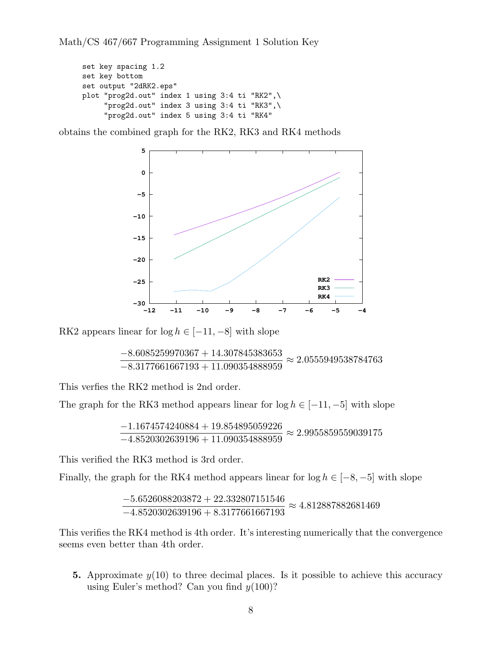Math/CS 467/667 Programming Assignment 1 Solution Key

```
set key spacing 1.2
set key bottom
set output "2dRK2.eps"
plot "prog2d.out" index 1 using 3:4 ti "RK2",\
     "prog2d.out" index 3 using 3:4 ti "RK3",\
     "prog2d.out" index 5 using 3:4 ti "RK4"
```
obtains the combined graph for the RK2, RK3 and RK4 methods



RK2 appears linear for  $log h \in [-11, -8]$  with slope

$$
\frac{-8.6085259970367 + 14.307845383653}{-8.3177661667193 + 11.090354888959} \approx 2.0555949538784763
$$

This verfies the RK2 method is 2nd order.

The graph for the RK3 method appears linear for  $log h \in [-11, -5]$  with slope

$$
\frac{-1.1674574240884 + 19.854895059226}{-4.8520302639196 + 11.090354888959} \approx 2.9955859559039175
$$

This verified the RK3 method is 3rd order.

Finally, the graph for the RK4 method appears linear for  $log h \in [-8, -5]$  with slope

$$
\frac{-5.6526088203872 + 22.332807151546}{-4.8520302639196 + 8.3177661667193} \approx 4.812887882681469
$$

This verifies the RK4 method is 4th order. It's interesting numerically that the convergence seems even better than 4th order.

**5.** Approximate  $y(10)$  to three decimal places. Is it possible to achieve this accuracy using Euler's method? Can you find *y*(100)?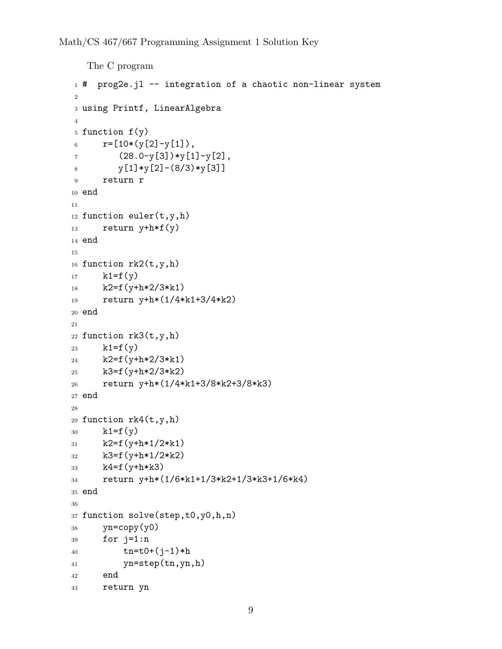```
The C program
1 # prog2e.jl -- integration of a chaotic non-linear system
2
3 using Printf, LinearAlgebra
4
5 function f(y)
6 r=[10*(y[2]-y[1]),7 \qquad (28.0-y[3]) \ast y[1]-y[2],8 y[1]*y[2] - (8/3)*y[3]9 return r
10 end
11
12 function euler(t,y,h)
13 return y + h * f(y)14 end
15
16 function rk2(t,y,h)17 k1=f(y)18 k2=f(y+h*2/3*k1)
19 return y+h*(1/4*k1+3/4*k2)
20 end
21
22 function rk3(t,y,h)23 k1=f(y)24 k2=f(y+h*2/3*k1)25 k3=f(y+h*2/3*k2)26 return y+h*(1/4*k1+3/8*k2+3/8*k3)
27 end
28
29 function rk4(t,y,h)30 k1=f(y)_{31} k2=f(y+h*1/2*k1)
32 k3=f(y+h*1/2*k2)
33 k4=f(y+h*k3)
34 return y+h*(1/6*k1+1/3*k2+1/3*k3+1/6*k4)
35 end
36
37 function solve(step,t0,y0,h,n)
38 yn=copy(y0)
39 for j=1:n
40 tn = t0 + (j-1)*h41 yn=step(tn,yn,h)
42 end
43 return yn
```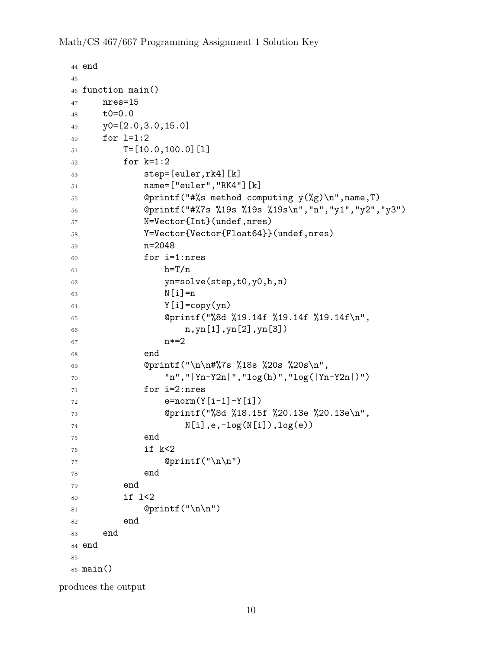Math/CS 467/667 Programming Assignment 1 Solution Key

```
44 end
45
46 function main()
47 nres=15
48 t0=0.0
49 y0=[2.0,3.0,15.0]
50 for l=1:2
_{51} T=[10.0,100.0][1]
52 for k=1:2
53 step=[euler,rk4][k]
54 name=["euler","RK4"][k]
55 @printf("#%s method computing y(%g)\n",name,T)
56 @printf("#%7s %19s %19s %19s\n","n","y1","y2","y3")
57 N=Vector{Int}(undef,nres)
58 Y=Vector{Vector{Float64}}(undef,nres)
59 n=2048
60 for i=1:nres
h=T/n62 yn=solve(step,t0,y0,h,n)
63 N[i]=n64 \qquad \qquad Y[i]=copy(yn)65 @printf("%8d %19.14f %19.14f %19.14f\n",
66 n,yn[1],yn[2],yn[3])
67 n*=2
68 end
69 @printf("\n\n#%7s %18s %20s %20s\n",
70 "n","|Yn-Y2n|","log(h)","log(|Yn-Y2n|)")
71 for i=2:nres
r_2 e=norm(Y[i-1]-Y[i])
73 @printf("%8d %18.15f %20.13e %20.13e\n",
N[i], e, -log(N[i]), log(e)75 end
76 if k<2
77 @printf("\n\n")
78 end
79 end
80 if l<2
81 @printf("\n\n")
82 end
83 end
84 end
85
86 main()
```
produces the output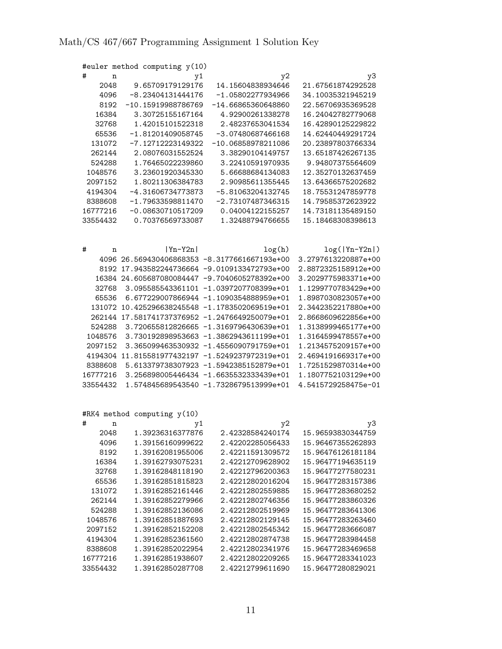|          | #euler method computing y(10) |    |                                              |                     |
|----------|-------------------------------|----|----------------------------------------------|---------------------|
| #<br>n   |                               | y1 | y2                                           | y3                  |
| 2048     | 9.65709179129176              |    | 14.15604838934646                            | 21.67561874292528   |
| 4096     | $-8.23404131444176$           |    | $-1.05802277934966$                          | 34.10035321945219   |
| 8192     | $-10.15919988786769$          |    | -14.66865360648860                           | 22.56706935369528   |
| 16384    | 3.30725155167164              |    | 4.92900261338278                             | 16.24042782779068   |
| 32768    | 1.42015101522318              |    | 2.48237653041534                             | 16.42890125229822   |
| 65536    | $-1.81201409058745$           |    | -3.07480687466168                            | 14.62440449291724   |
| 131072   | $-7.12712223149322$           |    | -10.06858978211086                           | 20.23897803766334   |
| 262144   | 2.08076031552524              |    | 3.38290104149757                             | 13.65187426267135   |
| 524288   | 1.76465022239860              |    | 3.22410591970935                             | 9.94807375564609    |
| 1048576  | 3.23601920345330              |    | 5.66688684134083                             | 12.35270132637459   |
| 2097152  | 1.80211306384783              |    | 2.90985611355445                             | 13.64366575202682   |
| 4194304  | -4.31606734773873             |    | $-5.81063204132745$                          | 18.75531247859778   |
| 8388608  | $-1.79633598811470$           |    | $-2.73107487346315$                          | 14.79585372623922   |
| 16777216 | $-0.08630710517209$           |    | 0.04004122155257                             | 14.73181135489150   |
| 33554432 | 0.70376569733087              |    | 1.32488794766655                             | 15.18468308398613   |
|          |                               |    |                                              |                     |
|          |                               |    |                                              |                     |
|          |                               |    |                                              |                     |
| #<br>n   | $ Yn-Y2n $                    |    | log(h)                                       | $log( Yn-Y2n )$     |
|          |                               |    | 4096 26.569430406868353 -8.3177661667193e+00 | 3.2797613220887e+00 |
| 8192     |                               |    | 17.943582244736664 -9.0109133472793e+00      | 2.8872325158912e+00 |
| 16384    |                               |    | 24.605687080084447 -9.7040605278392e+00      | 3.2029775983371e+00 |
| 32768    |                               |    | 3.095585543361101 -1.0397207708399e+01       | 1.1299770783429e+00 |
| 65536    |                               |    | 6.677229007866944 -1.1090354888959e+01       | 1.8987030823057e+00 |
| 131072   |                               |    | 10.425296638245548 -1.1783502069519e+01      | 2.3442352217880e+00 |
| 262144   |                               |    | 17.581741737376952 -1.2476649250079e+01      | 2.8668609622856e+00 |
| 524288   |                               |    | 3.720655812826665 -1.3169796430639e+01       | 1.3138999465177e+00 |
| 1048576  |                               |    | 3.730192898953663 -1.3862943611199e+01       | 1.3164599478557e+00 |
| 2097152  |                               |    | 3.365099463530932 -1.4556090791759e+01       | 1.2134575209157e+00 |
| 4194304  |                               |    | 11.815581977432197 -1.5249237972319e+01      | 2.4694191669317e+00 |
| 8388608  |                               |    | 5.613379738307923 -1.5942385152879e+01       | 1.7251529870314e+00 |
| 16777216 |                               |    | 3.256898005446434 -1.6635532333439e+01       | 1.1807752103129e+00 |
| 33554432 |                               |    | 1.574845689543540 -1.7328679513999e+01       | 4.5415729258475e-01 |

#RK4 method computing y(10)

| #        | n     | y1               | y2               | y3                |
|----------|-------|------------------|------------------|-------------------|
|          | 2048  | 1.39236316377876 | 2.42328584240174 | 15.96593830344759 |
|          | 4096  | 1.39156160999622 | 2.42202285056433 | 15.96467355262893 |
|          | 8192  | 1.39162081955006 | 2.42211591309572 | 15.96476126181184 |
|          | 16384 | 1.39162793075231 | 2.42212709628902 | 15.96477194635119 |
|          | 32768 | 1.39162848118190 | 2.42212796200363 | 15.96477277580231 |
|          | 65536 | 1.39162851815823 | 2.42212802016204 | 15.96477283157386 |
| 131072   |       | 1.39162852161446 | 2.42212802559885 | 15.96477283680252 |
| 262144   |       | 1.39162852279966 | 2.42212802746356 | 15.96477283860326 |
| 524288   |       | 1.39162852136086 | 2.42212802519969 | 15.96477283641306 |
| 1048576  |       | 1.39162851887693 | 2.42212802129145 | 15.96477283263460 |
| 2097152  |       | 1.39162852152208 | 2.42212802545342 | 15.96477283666087 |
| 4194304  |       | 1.39162852361560 | 2.42212802874738 | 15.96477283984458 |
| 8388608  |       | 1.39162852022954 | 2.42212802341976 | 15.96477283469658 |
| 16777216 |       | 1.39162851938607 | 2.42212802209265 | 15.96477283341023 |
| 33554432 |       | 1.39162850287708 | 2.42212799611690 | 15.96477280829021 |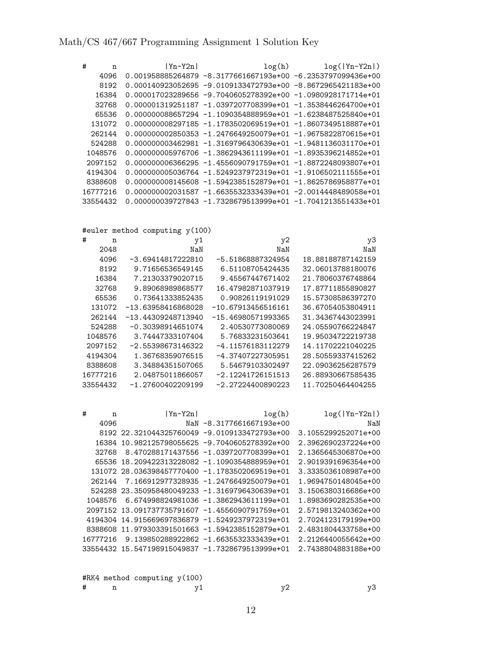| # | n        | $ Yn-Y2n $ | log(h)                                                          | $log( Yn-Y2n )$ |
|---|----------|------------|-----------------------------------------------------------------|-----------------|
|   | 4096     |            | $0.001958885264879 -8.3177661667193e+00 -6.2353797099436e+00$   |                 |
|   | 8192     |            | $0.000140923052695 - 9.0109133472793e+00 -8.8672965421183e+00$  |                 |
|   | 16384    |            | $0.000017023289656 - 9.7040605278392e+00 -1.0980928171714e+01$  |                 |
|   | 32768    |            | $0.000001319251187 - 1.0397207708399e+01 - 1.3538446264700e+01$ |                 |
|   | 65536    |            | $0.000000088657294 -1.1090354888959e+01 -1.6238487525840e+01$   |                 |
|   | 131072   |            | $0.00000008297185 -1.1783502069519e+01 -1.8607349518887e+01$    |                 |
|   | 262144   |            | $0.00000002850353 - 1.2476649250079e+01 - 1.9675822870615e+01$  |                 |
|   | 524288   |            | $0.00000003462981 - 1.3169796430639e+01 -1.9481136031170e+01$   |                 |
|   | 1048576  |            | $0.00000005976706 - 1.3862943611199e+01 - 1.8935396214852e+01$  |                 |
|   | 2097152  |            | $0.000000006366295 -1.4556090791759e+01 -1.8872248093807e+01$   |                 |
|   | 4194304  |            | $0.00000005036764 -1.5249237972319e+01 -1.9106502111555e+01$    |                 |
|   | 8388608  |            | $0.00000008145608 - 1.5942385152879e+01 - 1.8625786958877e+01$  |                 |
|   | 16777216 |            | 0.000000002031587 -1.6635532333439e+01 -2.0014448489058e+01     |                 |
|   | 33554432 |            | $0.000000039727843 - 1.7328679513999e+01 -1.7041213551433e+01$  |                 |

#euler method computing y(100)

| #<br>n   | y1                  | y2                  | y3                |
|----------|---------------------|---------------------|-------------------|
| 2048     | NaN                 | NaN                 | NaN               |
| 4096     | -3.69414817222810   | -5.51868887324954   | 18.88188787142159 |
| 8192     | 9.71656536549145    | 6.51108705424435    | 32.06013788180076 |
| 16384    | 7.21303379020715    | 9.45567447671402    | 21.78060376748864 |
| 32768    | 9.89068989868577    | 16.47982871037919   | 17.87711855890827 |
| 65536    | 0.73641333852435    | 0.90826119191029    | 15.57308586397270 |
| 131072   | -13.63958416868028  | -10.67913456516161  | 36.67054053804911 |
| 262144   | -13.44309248713940  | -15.46980571993365  | 31.34367443023991 |
| 524288   | $-0.30398914651074$ | 2.40530773080069    | 24.05590766224847 |
| 1048576  | 3.74447333107404    | 5.76833231503641    | 19.95034722219738 |
| 2097152  | $-2.55398673146322$ | -4.11576183112279   | 14.11702221040225 |
| 4194304  | 1.36768359076515    | -4.37407227305951   | 28.50559337415262 |
| 8388608  | 3.34884351507065    | 5.54679103302497    | 22.09036256287579 |
| 16777216 | 2.04875011866057    | $-2.12241726151513$ | 26.88930667585435 |
| 33554432 | -1.27600402209199   | $-2.27224400890223$ | 11.70250464404255 |

| # | n        | $ Y_n-Y2n $ | log(h)                                          | $log( Yn-Y2n )$     |
|---|----------|-------------|-------------------------------------------------|---------------------|
|   | 4096     |             | NaN -8.3177661667193e+00                        | NaN                 |
|   |          |             | 8192 22.321044325760049 -9.0109133472793e+00    | 3.1055299252071e+00 |
|   | 16384    |             | 10.982125798055625 -9.7040605278392e+00         | 2.3962690237224e+00 |
|   | 32768    |             | 8.470288171437556 -1.0397207708399e+01          | 2.1365645306870e+00 |
|   | 65536    |             | 18.209422313228082 -1.1090354888959e+01         | 2.9019391696354e+00 |
|   |          |             | 131072 28.036398457770400 -1.1783502069519e+01  | 3.3335036108987e+00 |
|   | 262144   |             | 7.166912977328935 -1.2476649250079e+01          | 1.9694750148045e+00 |
|   | 524288   |             | 23.350958480049233 -1.3169796430639e+01         | 3.1506380316686e+00 |
|   | 1048576  |             | 6.674998824981036 -1.3862943611199e+01          | 1.8983690282535e+00 |
|   |          |             | 2097152 13.091737735791607 -1.4556090791759e+01 | 2.5719813240362e+00 |
|   |          |             | 4194304 14.915669697836879 -1.5249237972319e+01 | 2.7024123179199e+00 |
|   | 8388608  |             | 11.979303391501663 -1.5942385152879e+01         | 2.4831804433758e+00 |
|   | 16777216 |             | $9.139850288922862 -1.6635532333439e+01$        | 2.2126440055642e+00 |
|   | 33554432 |             | 15.547198915049837 -1.7328679513999e+01         | 2.7438804883188e+00 |

#RK4 method computing y(100)

# n y1 y2 y3